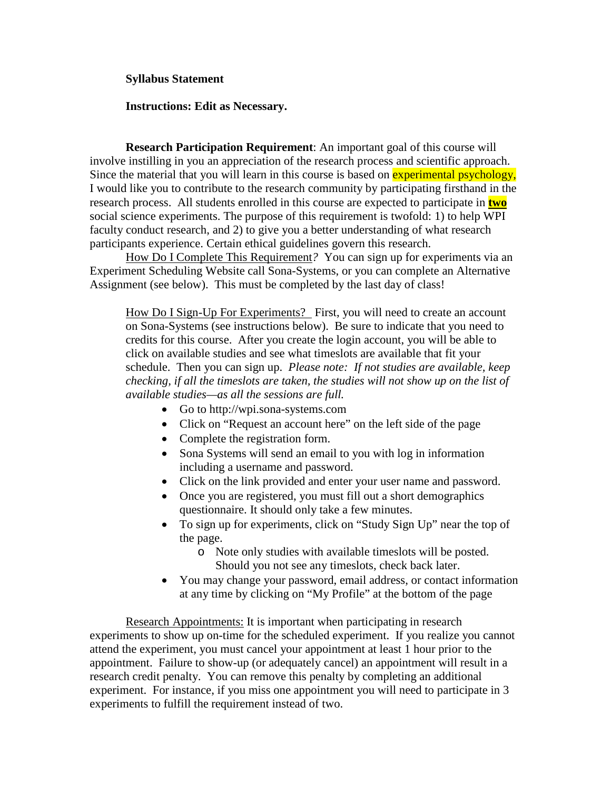## **Syllabus Statement**

## **Instructions: Edit as Necessary.**

**Research Participation Requirement**: An important goal of this course will involve instilling in you an appreciation of the research process and scientific approach. Since the material that you will learn in this course is based on **experimental psychology**, I would like you to contribute to the research community by participating firsthand in the research process. All students enrolled in this course are expected to participate in **two** social science experiments. The purpose of this requirement is twofold: 1) to help WPI faculty conduct research, and 2) to give you a better understanding of what research participants experience. Certain ethical guidelines govern this research.

How Do I Complete This Requirement*?* You can sign up for experiments via an Experiment Scheduling Website call Sona-Systems, or you can complete an Alternative Assignment (see below). This must be completed by the last day of class!

How Do I Sign-Up For Experiments? First, you will need to create an account on Sona-Systems (see instructions below). Be sure to indicate that you need to credits for this course. After you create the login account, you will be able to click on available studies and see what timeslots are available that fit your schedule. Then you can sign up. *Please note: If not studies are available, keep checking, if all the timeslots are taken, the studies will not show up on the list of available studies—as all the sessions are full.*

- Go to http://wpi.sona-systems.com
- Click on "Request an account here" on the left side of the page
- Complete the registration form.
- Sona Systems will send an email to you with log in information including a username and password.
- Click on the link provided and enter your user name and password.
- Once you are registered, you must fill out a short demographics questionnaire. It should only take a few minutes.
- To sign up for experiments, click on "Study Sign Up" near the top of the page.
	- o Note only studies with available timeslots will be posted. Should you not see any timeslots, check back later.
- You may change your password, email address, or contact information at any time by clicking on "My Profile" at the bottom of the page

Research Appointments: It is important when participating in research experiments to show up on-time for the scheduled experiment. If you realize you cannot attend the experiment, you must cancel your appointment at least 1 hour prior to the appointment. Failure to show-up (or adequately cancel) an appointment will result in a research credit penalty. You can remove this penalty by completing an additional experiment. For instance, if you miss one appointment you will need to participate in 3 experiments to fulfill the requirement instead of two.